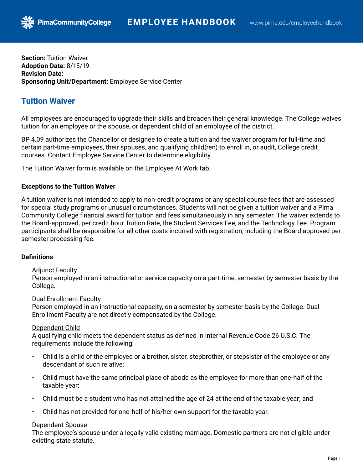**Section:** Tuition Waiver **Adoption Date:** 8/15/19 **Revision Date: Sponsoring Unit/Department:** Employee Service Center

**PimaCommunityCollege** 

# **Tuition Waiver**

All employees are encouraged to upgrade their skills and broaden their general knowledge. The College waives tuition for an employee or the spouse, or dependent child of an employee of the district.

BP 4.09 authorizes the Chancellor or designee to create a tuition and fee waiver program for full-time and certain part-time employees, their spouses, and qualifying child(ren) to enroll in, or audit, College credit courses. Contact Employee Service Center to determine eligibility.

The Tuition Waiver form is available on the Employee At Work tab.

# **Exceptions to the Tuition Waiver**

A tuition waiver is not intended to apply to non-credit programs or any special course fees that are assessed for special study programs or unusual circumstances. Students will not be given a tuition waiver and a Pima Community College financial award for tuition and fees simultaneously in any semester. The waiver extends to the Board-approved, per credit hour Tuition Rate, the Student Services Fee, and the Technology Fee. Program participants shall be responsible for all other costs incurred with registration, including the Board approved per semester processing fee.

## **Definitions**

# Adjunct Faculty

Person employed in an instructional or service capacity on a part-time, semester by semester basis by the College.

## Dual Enrollment Faculty

Person employed in an instructional capacity, on a semester by semester basis by the College. Dual Enrollment Faculty are not directly compensated by the College.

## Dependent Child

A qualifying child meets the dependent status as defined in Internal Revenue Code 26 U.S.C. The requirements include the following:

- Child is a child of the employee or a brother, sister, stepbrother, or stepsister of the employee or any descendant of such relative;
- Child must have the same principal place of abode as the employee for more than one-half of the taxable year;
- Child must be a student who has not attained the age of 24 at the end of the taxable year; and
- Child has not provided for one-half of his/her own support for the taxable year.

## Dependent Spouse

The employee's spouse under a legally valid existing marriage. Domestic partners are not eligible under existing state statute.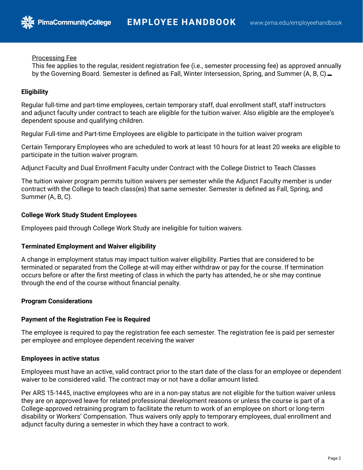## Processing Fee

**PimaCommunityCollege** 

This fee applies to the regular, resident registration fee (i.e., semester processing fee) as approved annually by the Governing Board. Semester is defined as Fall, Winter Intersession, Spring, and Summer (A, B, C).

# **Eligibility**

Regular full-time and part-time employees, certain temporary staff, dual enrollment staff, staff instructors and adjunct faculty under contract to teach are eligible for the tuition waiver. Also eligible are the employee's dependent spouse and qualifying children.

Regular Full-time and Part-time Employees are eligible to participate in the tuition waiver program

Certain Temporary Employees who are scheduled to work at least 10 hours for at least 20 weeks are eligible to participate in the tuition waiver program.

Adjunct Faculty and Dual Enrollment Faculty under Contract with the College District to Teach Classes

The tuition waiver program permits tuition waivers per semester while the Adjunct Faculty member is under contract with the College to teach class(es) that same semester. Semester is defined as Fall, Spring, and Summer (A, B, C).

## **College Work Study Student Employees**

Employees paid through College Work Study are ineligible for tuition waivers.

## **Terminated Employment and Waiver eligibility**

A change in employment status may impact tuition waiver eligibility. Parties that are considered to be terminated or separated from the College at-will may either withdraw or pay for the course. If termination occurs before or after the first meeting of class in which the party has attended, he or she may continue through the end of the course without financial penalty.

## **Program Considerations**

## **Payment of the Registration Fee is Required**

The employee is required to pay the registration fee each semester. The registration fee is paid per semester per employee and employee dependent receiving the waiver

#### **Employees in active status**

Employees must have an active, valid contract prior to the start date of the class for an employee or dependent waiver to be considered valid. The contract may or not have a dollar amount listed.

Per ARS 15-1445, inactive employees who are in a non-pay status are not eligible for the tuition waiver unless they are on approved leave for related professional development reasons or unless the course is part of a College-approved retraining program to facilitate the return to work of an employee on short or long-term disability or Workers' Compensation. Thus waivers only apply to temporary employees, dual enrollment and adjunct faculty during a semester in which they have a contract to work.